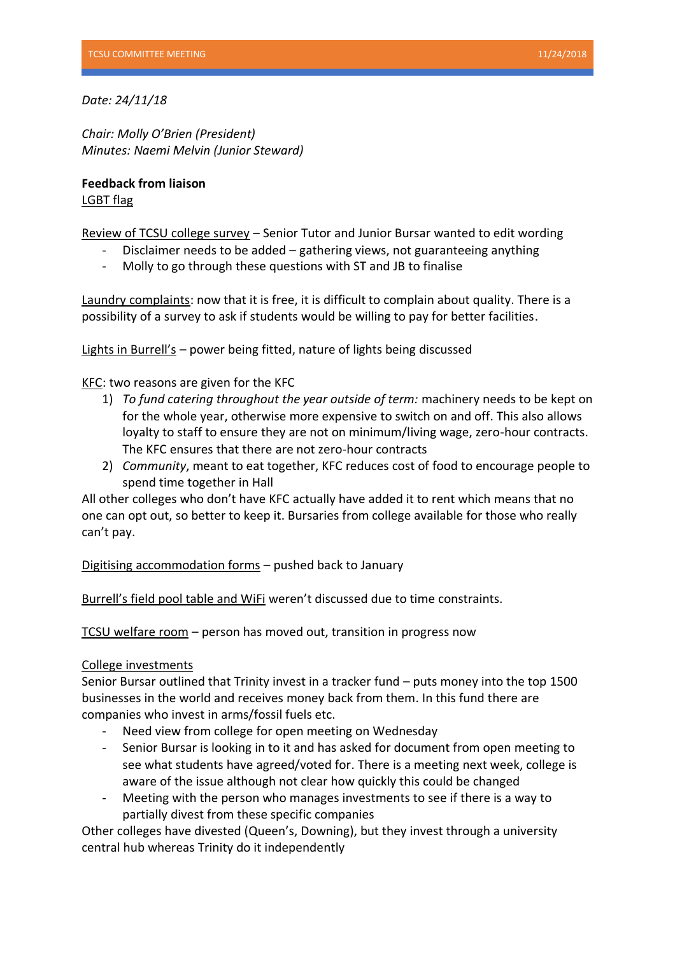*Date: 24/11/18*

*Chair: Molly O'Brien (President) Minutes: Naemi Melvin (Junior Steward)*

**Feedback from liaison** LGBT flag

Review of TCSU college survey – Senior Tutor and Junior Bursar wanted to edit wording

- Disclaimer needs to be added gathering views, not guaranteeing anything
- Molly to go through these questions with ST and JB to finalise

Laundry complaints: now that it is free, it is difficult to complain about quality. There is a possibility of a survey to ask if students would be willing to pay for better facilities.

Lights in Burrell's – power being fitted, nature of lights being discussed

KFC: two reasons are given for the KFC

- 1) *To fund catering throughout the year outside of term:* machinery needs to be kept on for the whole year, otherwise more expensive to switch on and off. This also allows loyalty to staff to ensure they are not on minimum/living wage, zero-hour contracts. The KFC ensures that there are not zero-hour contracts
- 2) *Community*, meant to eat together, KFC reduces cost of food to encourage people to spend time together in Hall

All other colleges who don't have KFC actually have added it to rent which means that no one can opt out, so better to keep it. Bursaries from college available for those who really can't pay.

Digitising accommodation forms – pushed back to January

Burrell's field pool table and WiFi weren't discussed due to time constraints.

TCSU welfare room – person has moved out, transition in progress now

### College investments

Senior Bursar outlined that Trinity invest in a tracker fund – puts money into the top 1500 businesses in the world and receives money back from them. In this fund there are companies who invest in arms/fossil fuels etc.

- Need view from college for open meeting on Wednesday
- Senior Bursar is looking in to it and has asked for document from open meeting to see what students have agreed/voted for. There is a meeting next week, college is aware of the issue although not clear how quickly this could be changed
- Meeting with the person who manages investments to see if there is a way to partially divest from these specific companies

Other colleges have divested (Queen's, Downing), but they invest through a university central hub whereas Trinity do it independently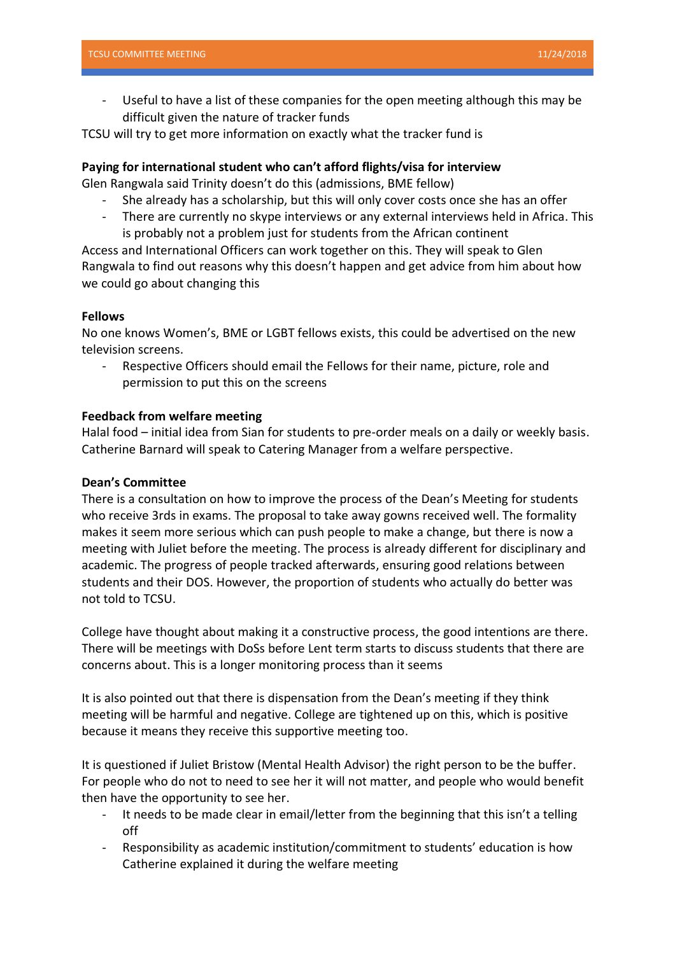Useful to have a list of these companies for the open meeting although this may be difficult given the nature of tracker funds

TCSU will try to get more information on exactly what the tracker fund is

## **Paying for international student who can't afford flights/visa for interview**

Glen Rangwala said Trinity doesn't do this (admissions, BME fellow)

- She already has a scholarship, but this will only cover costs once she has an offer
- There are currently no skype interviews or any external interviews held in Africa. This is probably not a problem just for students from the African continent

Access and International Officers can work together on this. They will speak to Glen Rangwala to find out reasons why this doesn't happen and get advice from him about how we could go about changing this

# **Fellows**

No one knows Women's, BME or LGBT fellows exists, this could be advertised on the new television screens.

Respective Officers should email the Fellows for their name, picture, role and permission to put this on the screens

# **Feedback from welfare meeting**

Halal food – initial idea from Sian for students to pre-order meals on a daily or weekly basis. Catherine Barnard will speak to Catering Manager from a welfare perspective.

## **Dean's Committee**

There is a consultation on how to improve the process of the Dean's Meeting for students who receive 3rds in exams. The proposal to take away gowns received well. The formality makes it seem more serious which can push people to make a change, but there is now a meeting with Juliet before the meeting. The process is already different for disciplinary and academic. The progress of people tracked afterwards, ensuring good relations between students and their DOS. However, the proportion of students who actually do better was not told to TCSU.

College have thought about making it a constructive process, the good intentions are there. There will be meetings with DoSs before Lent term starts to discuss students that there are concerns about. This is a longer monitoring process than it seems

It is also pointed out that there is dispensation from the Dean's meeting if they think meeting will be harmful and negative. College are tightened up on this, which is positive because it means they receive this supportive meeting too.

It is questioned if Juliet Bristow (Mental Health Advisor) the right person to be the buffer. For people who do not to need to see her it will not matter, and people who would benefit then have the opportunity to see her.

- It needs to be made clear in email/letter from the beginning that this isn't a telling off
- Responsibility as academic institution/commitment to students' education is how Catherine explained it during the welfare meeting